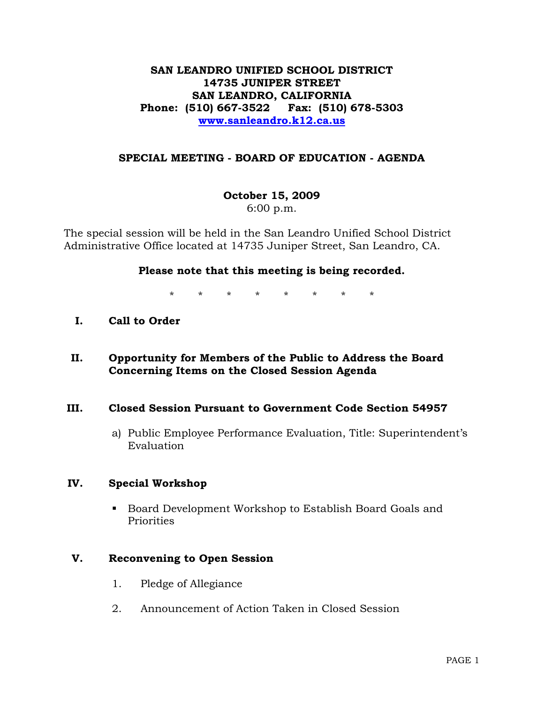## **SAN LEANDRO UNIFIED SCHOOL DISTRICT 14735 JUNIPER STREET SAN LEANDRO, CALIFORNIA Phone: (510) 667-3522 Fax: (510) 678-5303 [www.sanleandro.k12.ca.us](http://www.sanleandro.k12.ca.us/)**

### **SPECIAL MEETING - BOARD OF EDUCATION - AGENDA**

**October 15, 2009**  6:00 p.m.

The special session will be held in the San Leandro Unified School District Administrative Office located at 14735 Juniper Street, San Leandro, CA.

#### **Please note that this meeting is being recorded.**

\* \* \* \* \* \* \* \*

- **I. Call to Order**
- **II. Opportunity for Members of the Public to Address the Board Concerning Items on the Closed Session Agenda**

#### **III. Closed Session Pursuant to Government Code Section 54957**

a) Public Employee Performance Evaluation, Title: Superintendent's Evaluation

#### **IV. Special Workshop**

 Board Development Workshop to Establish Board Goals and Priorities

## **V. Reconvening to Open Session**

- 1. Pledge of Allegiance
- 2. Announcement of Action Taken in Closed Session